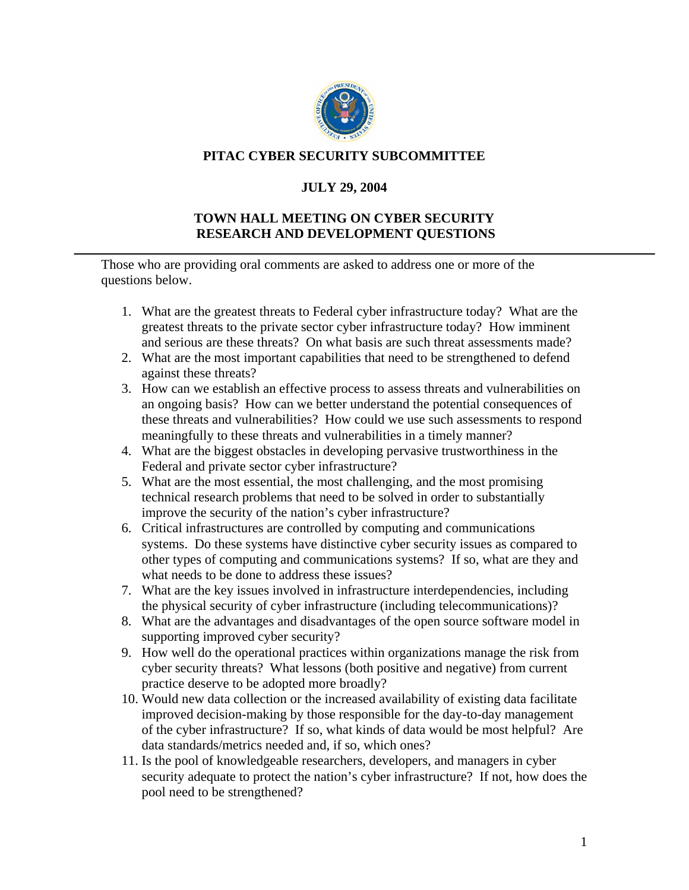

## **PITAC CYBER SECURITY SUBCOMMITTEE**

## **JULY 29, 2004**

## **TOWN HALL MEETING ON CYBER SECURITY RESEARCH AND DEVELOPMENT QUESTIONS**

Those who are providing oral comments are asked to address one or more of the questions below.

- 1. What are the greatest threats to Federal cyber infrastructure today? What are the greatest threats to the private sector cyber infrastructure today? How imminent and serious are these threats? On what basis are such threat assessments made?
- 2. What are the most important capabilities that need to be strengthened to defend against these threats?
- 3. How can we establish an effective process to assess threats and vulnerabilities on an ongoing basis? How can we better understand the potential consequences of these threats and vulnerabilities? How could we use such assessments to respond meaningfully to these threats and vulnerabilities in a timely manner?
- 4. What are the biggest obstacles in developing pervasive trustworthiness in the Federal and private sector cyber infrastructure?
- 5. What are the most essential, the most challenging, and the most promising technical research problems that need to be solved in order to substantially improve the security of the nation's cyber infrastructure?
- 6. Critical infrastructures are controlled by computing and communications systems. Do these systems have distinctive cyber security issues as compared to other types of computing and communications systems? If so, what are they and what needs to be done to address these issues?
- 7. What are the key issues involved in infrastructure interdependencies, including the physical security of cyber infrastructure (including telecommunications)?
- 8. What are the advantages and disadvantages of the open source software model in supporting improved cyber security?
- 9. How well do the operational practices within organizations manage the risk from cyber security threats? What lessons (both positive and negative) from current practice deserve to be adopted more broadly?
- 10. Would new data collection or the increased availability of existing data facilitate improved decision-making by those responsible for the day-to-day management of the cyber infrastructure? If so, what kinds of data would be most helpful? Are data standards/metrics needed and, if so, which ones?
- 11. Is the pool of knowledgeable researchers, developers, and managers in cyber security adequate to protect the nation's cyber infrastructure? If not, how does the pool need to be strengthened?